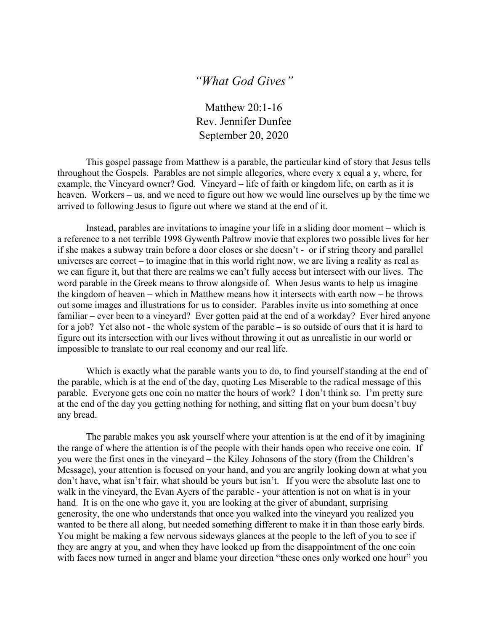## *"What God Gives"*

Matthew 20:1-16 Rev. Jennifer Dunfee September 20, 2020

This gospel passage from Matthew is a parable, the particular kind of story that Jesus tells throughout the Gospels. Parables are not simple allegories, where every x equal a y, where, for example, the Vineyard owner? God. Vineyard – life of faith or kingdom life, on earth as it is heaven. Workers – us, and we need to figure out how we would line ourselves up by the time we arrived to following Jesus to figure out where we stand at the end of it.

Instead, parables are invitations to imagine your life in a sliding door moment – which is a reference to a not terrible 1998 Gywenth Paltrow movie that explores two possible lives for her if she makes a subway train before a door closes or she doesn't - or if string theory and parallel universes are correct – to imagine that in this world right now, we are living a reality as real as we can figure it, but that there are realms we can't fully access but intersect with our lives. The word parable in the Greek means to throw alongside of. When Jesus wants to help us imagine the kingdom of heaven – which in Matthew means how it intersects with earth now – he throws out some images and illustrations for us to consider. Parables invite us into something at once familiar – ever been to a vineyard? Ever gotten paid at the end of a workday? Ever hired anyone for a job? Yet also not - the whole system of the parable – is so outside of ours that it is hard to figure out its intersection with our lives without throwing it out as unrealistic in our world or impossible to translate to our real economy and our real life.

Which is exactly what the parable wants you to do, to find yourself standing at the end of the parable, which is at the end of the day, quoting Les Miserable to the radical message of this parable. Everyone gets one coin no matter the hours of work? I don't think so. I'm pretty sure at the end of the day you getting nothing for nothing, and sitting flat on your bum doesn't buy any bread.

The parable makes you ask yourself where your attention is at the end of it by imagining the range of where the attention is of the people with their hands open who receive one coin. If you were the first ones in the vineyard – the Kiley Johnsons of the story (from the Children's Message), your attention is focused on your hand, and you are angrily looking down at what you don't have, what isn't fair, what should be yours but isn't. If you were the absolute last one to walk in the vineyard, the Evan Ayers of the parable - your attention is not on what is in your hand. It is on the one who gave it, you are looking at the giver of abundant, surprising generosity, the one who understands that once you walked into the vineyard you realized you wanted to be there all along, but needed something different to make it in than those early birds. You might be making a few nervous sideways glances at the people to the left of you to see if they are angry at you, and when they have looked up from the disappointment of the one coin with faces now turned in anger and blame your direction "these ones only worked one hour" you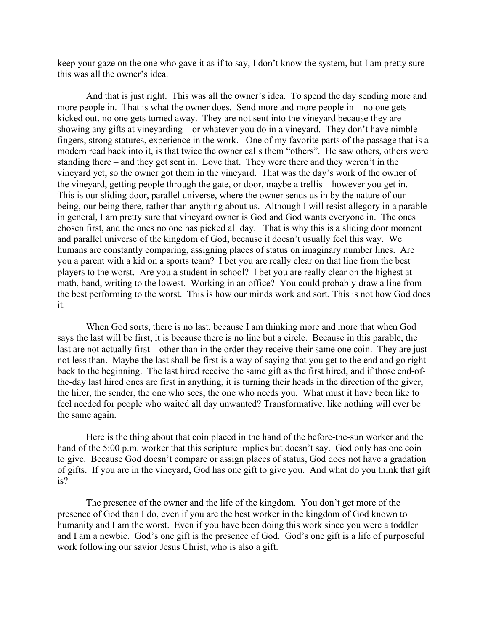keep your gaze on the one who gave it as if to say, I don't know the system, but I am pretty sure this was all the owner's idea.

And that is just right. This was all the owner's idea. To spend the day sending more and more people in. That is what the owner does. Send more and more people in – no one gets kicked out, no one gets turned away. They are not sent into the vineyard because they are showing any gifts at vineyarding – or whatever you do in a vineyard. They don't have nimble fingers, strong statures, experience in the work. One of my favorite parts of the passage that is a modern read back into it, is that twice the owner calls them "others". He saw others, others were standing there – and they get sent in. Love that. They were there and they weren't in the vineyard yet, so the owner got them in the vineyard. That was the day's work of the owner of the vineyard, getting people through the gate, or door, maybe a trellis – however you get in. This is our sliding door, parallel universe, where the owner sends us in by the nature of our being, our being there, rather than anything about us. Although I will resist allegory in a parable in general, I am pretty sure that vineyard owner is God and God wants everyone in. The ones chosen first, and the ones no one has picked all day. That is why this is a sliding door moment and parallel universe of the kingdom of God, because it doesn't usually feel this way. We humans are constantly comparing, assigning places of status on imaginary number lines. Are you a parent with a kid on a sports team? I bet you are really clear on that line from the best players to the worst. Are you a student in school? I bet you are really clear on the highest at math, band, writing to the lowest. Working in an office? You could probably draw a line from the best performing to the worst. This is how our minds work and sort. This is not how God does it.

When God sorts, there is no last, because I am thinking more and more that when God says the last will be first, it is because there is no line but a circle. Because in this parable, the last are not actually first – other than in the order they receive their same one coin. They are just not less than. Maybe the last shall be first is a way of saying that you get to the end and go right back to the beginning. The last hired receive the same gift as the first hired, and if those end-ofthe-day last hired ones are first in anything, it is turning their heads in the direction of the giver, the hirer, the sender, the one who sees, the one who needs you. What must it have been like to feel needed for people who waited all day unwanted? Transformative, like nothing will ever be the same again.

Here is the thing about that coin placed in the hand of the before-the-sun worker and the hand of the 5:00 p.m. worker that this scripture implies but doesn't say. God only has one coin to give. Because God doesn't compare or assign places of status, God does not have a gradation of gifts. If you are in the vineyard, God has one gift to give you. And what do you think that gift is?

The presence of the owner and the life of the kingdom. You don't get more of the presence of God than I do, even if you are the best worker in the kingdom of God known to humanity and I am the worst. Even if you have been doing this work since you were a toddler and I am a newbie. God's one gift is the presence of God. God's one gift is a life of purposeful work following our savior Jesus Christ, who is also a gift.